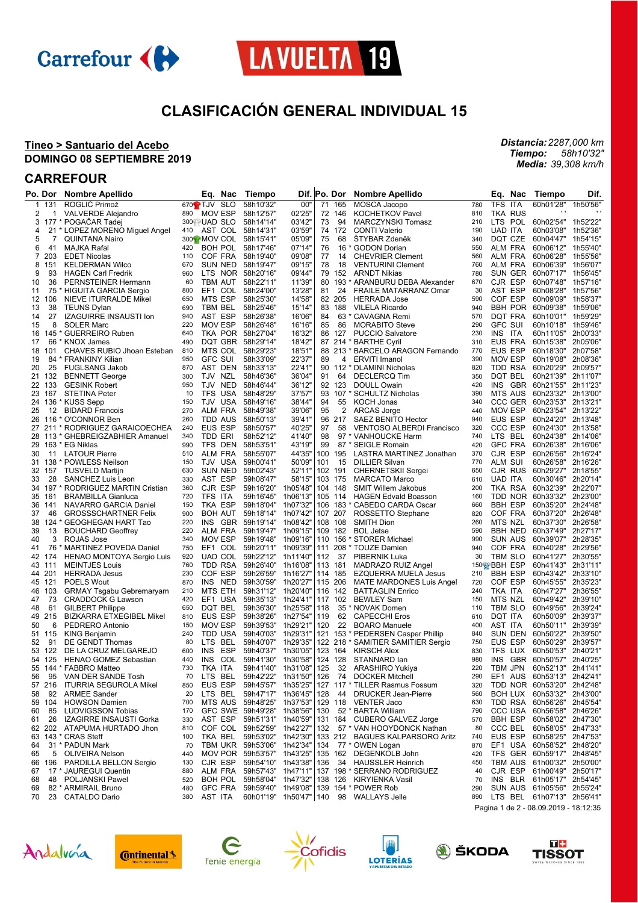



# **CLASIFICACIÓN GENERAL INDIVIDUAL 15**

 $\mathbf{r}$ 

#### **Tineo > Santuario del Acebo DOMINGO 08 SEPTIEMBRE 2019**

### **CARREFOUR**

|              | Po. Dor | <b>Nombre Apellido</b>           |     | Eq. Nac                  | Tiempo                     |          |     | Dif. Po. Dor | <b>Nombre Apellido</b>                    |     | Eq.<br>Nac                 | Tiempo             | Dif.     |
|--------------|---------|----------------------------------|-----|--------------------------|----------------------------|----------|-----|--------------|-------------------------------------------|-----|----------------------------|--------------------|----------|
| $\mathbf{1}$ | 131     | ROGLIĆ Primož                    |     | 670 <sup>2</sup> TJV SLO | 58h10'32"                  | 00"      | 71  | 165          | MOSCA Jacopo                              | 780 | TFS ITA                    | 60h01'28"          | 1h50'56' |
| 2            | 1       | <b>VALVERDE Alejandro</b>        | 890 | MOV ESP                  | 58h12'57"                  | 02'25'   |     | 72 146       | <b>KOCHETKOV Pavel</b>                    | 810 | <b>TKA RUS</b>             |                    |          |
| 3            |         | 177 * POGACAR Tadej              |     | 300 UAD SLO              | 58h14'14"                  | 03'42"   | 73  | 94           | <b>MARCZYNSKI Tomasz</b>                  | 210 | <b>LTS</b><br>POL          | 60h02'54" 1h52'22" |          |
| 4            |         | 21 * LOPEZ MORENO Miguel Angel   | 410 | AST COL                  | 58h14'31"                  | 03'59'   |     | 74 172       | <b>CONTI Valerio</b>                      | 190 | <b>UAD ITA</b>             | 60h03'08"          | 1h52'36' |
| 5            | 7       | <b>QUINTANA Nairo</b>            |     | 300 <sup>1</sup> MOV COL | 58h15'41"                  | 05'09'   | 75  | 68           | ŠTYBAR Zdeněk                             | 340 | DQT CZE                    | 60h04'47"          | 1h54'15' |
| 6            | 41      | MAJKA Rafal                      | 420 | BOH POL                  | 58h17'46"                  | 07'14'   | 76  | $16*$        | <b>GODON Dorian</b>                       | 550 | <b>ALM FRA</b>             | 60h06'12"          | 1h55'40" |
| 7            | 203     | <b>EDET Nicolas</b>              | 110 | COF FRA                  | 58h19'40"                  | 09'08'   | 77  | 14           | <b>CHEVRIER Clement</b>                   | 560 | ALM FRA                    | 60h06'28"          | 1h55'56' |
| 8            | 151     | <b>KELDERMAN Wilco</b>           | 670 | SUN NED                  | 58h19'47"                  | 09'15'   | 78  | 18           | <b>VENTURINI Clement</b>                  | 760 | <b>ALM FRA</b>             | 60h06'39"          | 1h56'07" |
|              | 93      |                                  |     |                          |                            |          |     |              |                                           | 780 |                            |                    |          |
| 9            |         | <b>HAGEN Carl Fredrik</b>        | 960 | LTS.                     | NOR 58h20'16"              | 09'44'   | 79  | 152          | <b>ARNDT Nikias</b>                       |     | SUN GER                    | 60h07'17"          | 1h56'45' |
| 10           | 36      | PERNSTEINER Hermann              | 60  | TBM AUT                  | 58h22'11"                  | 11'39"   |     |              | 80 193 * ARANBURU DEBA Alexander          | 670 | CJR ESP                    | 60h07'48"          | 1h57'16' |
| 11           | 75      | * HIGUITA GARCIA Sergio          | 800 | EF1 COL                  | 58h24'00"                  | 13'28'   | 81  | 24           | <b>FRAILE MATARRANZ Omar</b>              | 30  | AST ESP                    | 60h08'28"          | 1h57'56' |
| 12           | 106     | <b>NIEVE ITURRALDE Mikel</b>     | 650 | MTS ESP                  | 58h25'30"                  | 14'58'   |     | 82 205       | <b>HERRADA Jose</b>                       | 590 | COF ESP                    | 60h09'09"          | 1h58'37" |
| 13           | 38      | <b>TEUNS Dylan</b>               | 690 | TBM BEL                  | 58h25'46"                  | 15'14'   |     | 83 188       | <b>VILELA Ricardo</b>                     | 940 | <b>BBH POR</b>             | 60h09'38"          | 1h59'06" |
| 14           | 27      | IZAGUIRRE INSAUSTI Ion           | 940 | AST ESP                  | 58h26'38"                  | 16'06'   | 84  |              | 63 * CAVAGNA Remi                         | 570 | <b>DQT FRA</b>             | 60h10'01"          | 1h59'29" |
| 15           | 8       | <b>SOLER Marc</b>                | 220 | MOV ESP                  | 58h26'48"                  | 16'16'   | 85  | 86           | <b>MORABITO Steve</b>                     | 290 | <b>GFC SUI</b>             | 60h10'18"          | 1h59'46' |
| 16           | 145     | * GUERREIRO Ruben                | 640 | TKA POR 58h27'04"        |                            | 16'32'   |     | 86 127       | <b>PUCCIO Salvatore</b>                   | 230 | <b>INS</b><br>ITA          | 60h11'05"          | 2h00'33' |
| 17           |         | 66 * KNOX James                  | 490 | DQT GBR 58h29'14"        |                            | 18'42'   |     |              | 87 214 * BARTHE Cyril                     | 310 | <b>EUS FRA</b>             | 60h15'38"          | 2h05'06' |
| 18           | 101     | CHAVES RUBIO Jhoan Esteban       | 810 | MTS COL                  | 58h29'23"                  | 18'51"   |     |              | 88 213 * BARCELO ARAGON Fernando          | 770 | <b>EUS ESP</b>             | 60h18'30"          | 2h07'58' |
| 19           |         | 84 * FRANKINY Kilian             | 950 | GFC SUI                  | 58h33'09"                  | 22'37'   | 89  | 4            | <b>ERVITI Imanol</b>                      | 390 | <b>MOV ESP</b>             | 60h19'08"          | 2h08'36' |
| 20           | 25      | <b>FUGLSANG Jakob</b>            | 870 | AST DEN 58h33'13"        |                            | 22'41'   |     |              | 90 112 * DLAMINI Nicholas                 | 820 | TDD RSA                    | 60h20'29"          | 2h09'57" |
|              | 21 132  | <b>BENNETT George</b>            | 300 | TJV<br>NZL               | 58h46'36"                  | 36'04"   | 91  | 64           | <b>DECLERCQ Tim</b>                       | 350 | DQT BEL                    | 60h21'39"          | 2h11'07" |
|              |         |                                  |     |                          |                            |          |     |              |                                           |     | <b>INS</b>                 |                    |          |
|              | 22 133  | <b>GESINK Robert</b>             | 950 | TJV<br>NED               | 58h46'44"                  | 36'12"   |     | 92 123       | <b>DOULL Owain</b>                        | 420 | GBR                        | 60h21'55"          | 2h11'23' |
| 23           | 167     | <b>STETINA Peter</b>             | 10  | <b>TFS</b><br>USA        | 58h48'29"                  | 37'57'   | 93  |              | 107 * SCHULTZ Nicholas                    | 390 | <b>MTS AUS</b>             | 60h23'32"          | 2h13'00" |
| 24           |         | 136 * KUSS Sepp                  | 150 | TJV<br>USA               | 58h49'16"                  | 38'44"   | 94  | 55           | <b>KOCH Jonas</b>                         | 340 | CCC GER                    | 60h23'53"          | 2h13'21" |
| 25           | 12      | <b>BIDARD Francois</b>           | 270 | ALM FRA                  | 58h49'38"                  | 39'06"   | 95  | 2            | ARCAS Jorge                               | 440 | <b>MOV ESP</b>             | 60h23'54"          | 2h13'22" |
| 26           |         | 116 * O'CONNOR Ben               | 260 | TDD AUS                  | 58h50'13"                  | 39'41"   |     | 96 217       | SAEZ BENITO Hector                        | 940 | <b>EUS ESP</b>             | 60h24'20"          | 2h13'48' |
|              |         | 27 211 * RODRIGUEZ GARAICOECHEA  | 240 | <b>EUS ESP</b>           | 58h50'57"                  | 40'25'   | 97  | 58           | VENTOSO ALBERDI Francisco                 | 320 | <b>CCC ESP</b>             | 60h24'30"          | 2h13'58' |
|              |         | 28 113 * GHEBREIGZABHIER Amanuel | 340 | TDD ERI                  | 58h52'12"                  | 41'40"   | 98  |              | 97 * VANHOUCKE Harm                       | 740 | LTS BEL                    | 60h24'38"          | 2h14'06' |
| 29           |         | 163 * EG Niklas                  | 990 | TFS DEN                  | 58h53'51"                  | 43'19'   | 99  |              | 87 * SEIGLE Romain                        | 420 | <b>GFC FRA</b>             | 60h26'38"          | 2h16'06' |
| 30           | 11      | <b>LATOUR Pierre</b>             | 510 | ALM FRA                  | 58h55'07"                  | 44'35"   | 100 | 195          | LASTRA MARTINEZ Jonathan                  | 370 | CJR ESP                    | 60h26'56"          | 2h16'24" |
|              |         | 31 138 * POWLESS Neilson         | 150 | TJV USA                  | 59h00'41"                  | 50'09"   | 101 | 15           | <b>DILLIER Silvan</b>                     | 770 | <b>ALM SUI</b>             | 60h26'58"          | 2h16'26" |
|              | 32 157  | <b>TUSVELD Martijn</b>           | 630 | <b>SUN NED</b>           | 59h02'43"                  | 52'11"   |     | 102 191      | <b>CHERNETSKII Sergei</b>                 | 650 | CJR RUS                    | 60h29'27"          | 2h18'55' |
| 33           | 28      | SANCHEZ Luis Leon                | 330 | AST ESP                  | 59h08'47"                  | 58'15"   |     | 103 175      | <b>MARCATO Marco</b>                      | 610 | <b>UAD ITA</b>             | 60h30'46"          | 2h20'14" |
| 34           | 197     | * RODRIGUEZ MARTIN Cristian      | 360 | CJR ESP                  | 59h16'20"                  | 1h05'48" |     | 104 148      | <b>SMIT Willem Jakobus</b>                | 200 | TKA RSA                    | 60h32'39"          | 2h22'07' |
| 35           | 161     | <b>BRAMBILLA Gianluca</b>        | 720 | TFS ITA                  | 59h16'45"                  | 1h06'13" |     | 105 114      |                                           | 160 | TDD NOR                    | 60h33'32"          | 2h23'00" |
|              |         |                                  |     |                          |                            |          |     |              | <b>HAGEN Edvald Boasson</b>               |     |                            |                    |          |
| 36           | 141     | NAVARRO GARCIA Daniel            | 150 | TKA ESP                  | 59h18'04"                  | 1h07'32" | 106 |              | 183 * CABEDO CARDA Oscar                  | 660 | <b>BBH ESP</b>             | 60h35'20"          | 2h24'48' |
| 37           | 46      | <b>GROSSSCHARTNER Felix</b>      | 900 | <b>BOH AUT</b>           | 59h18'14" 1h07'42"         |          |     | 107 207      | ROSSETTO Stephane                         | 820 | COF FRA                    | 60h37'20"          | 2h26'48' |
| 38           |         | 124 * GEOGHEGAN HART Tao         | 220 | INS<br>GBR               | 59h19'14" 1h08'42"         |          |     | 108 108      | <b>SMITH Dion</b>                         | 260 | MTS NZL                    | 60h37'30"          | 2h26'58' |
| 39           | 13      | <b>BOUCHARD Geoffrey</b>         | 220 | ALM FRA                  | 59h19'47"                  | 1h09'15" |     | 109 182      | <b>BOL</b> Jetse                          | 590 | <b>BBH NED</b>             | 60h37'49"          | 2h27'17" |
| 40           | 3       | ROJAS Jose                       | 340 | MOV ESP                  | 59h19'48"                  | 1h09'16" |     |              | 110 156 * STORER Michael                  | 990 | <b>SUN AUS</b>             | 60h39'07"          | 2h28'35" |
| 41           |         | 76 * MARTINEZ POVEDA Daniel      | 750 | EF1 COL                  | 59h20'11" 1h09'39"         |          |     |              | 111 208 * TOUZE Damien                    | 940 | COF FRA                    | 60h40'28"          | 2h29'56' |
|              | 42 174  | HENAO MONTOYA Sergio Luis        | 920 | UAD COL                  | 59h22'12" 1h11'40"         |          | 112 | 37           | PIBERNIK Luka                             | 30  | TBM SLO                    | 60h41'27"          | 2h30'55' |
|              | 43 111  | <b>MEINTJES Louis</b>            | 760 | TDD RSA                  | 59h26'40" 1h16'08"         |          |     | 113 181      | MADRAZO RUIZ Angel                        |     | 150% BBH ESP               | 60h41'43"          | 2h31'11' |
|              | 44 201  | <b>HERRADA Jesus</b>             | 230 | COF ESP                  | 59h26'59"                  | 1h16'27' |     | 114 185      | <b>EZQUERRA MUELA Jesus</b>               | 210 | <b>BBH ESP</b>             | 60h43'42"          | 2h33'10" |
|              | 45 121  | <b>POELS Wout</b>                | 870 | INS<br>NED               | 59h30'59"                  | 1h20'27" |     | 115 206      | <b>MATE MARDONES Luis Angel</b>           | 720 | COF ESP                    | 60h45'55"          | 2h35'23" |
|              | 46 103  | <b>GRMAY Tsgabu Gebremaryam</b>  | 210 | MTS ETH                  | 59h31'12"                  | 1h20'40" |     | 116 142      | <b>BATTAGLIN Enrico</b>                   | 240 | TKA ITA                    | 60h47'27"          | 2h36'55' |
| 47           | 73      | <b>CRADDOCK G Lawson</b>         | 420 | EF1<br>USA               | 59h35'13"                  | 1h24'41" |     | 117 102      | <b>BEWLEY Sam</b>                         | 150 | MTS NZL                    | 60h49'42"          | 2h39'10" |
| 48           | 61      | <b>GILBERT Philippe</b>          | 650 | DQT BEL                  | 59h36'30"                  | 1h25'58" | 118 |              | 35 * NOVAK Domen                          | 110 | <b>TBM SLO</b>             | 60h49'56"          | 2h39'24" |
|              | 49 215  | <b>BIZKARRA ETXEGIBEL Mikel</b>  | 810 | <b>EUS ESP</b>           | 59h38'26"                  | 1h27'54" | 119 | 62           | <b>CAPECCHI Eros</b>                      | 610 | DQT ITA                    | 60h50'09"          | 2h39'37" |
| 50           | 6       | PEDRERO Antonio                  | 150 | <b>MOV ESP</b>           | 59h39'53"                  | 1h29'21" | 120 | 22           | <b>BOARO Manuele</b>                      | 400 | AST ITA                    | 60h50'11"          | 2h39'39" |
|              |         |                                  | 240 |                          |                            |          |     |              |                                           | 840 | <b>SUN DEN</b>             |                    | 2h39'50" |
|              | 51 115  | <b>KING Benjamin</b>             |     | TDD USA                  | 59h40'03"                  | 1h29'31" |     |              | 121 153 * PEDERSEN Casper Phillip         |     |                            | 60h50'22"          |          |
| 52           | 91      | DE GENDT Thomas                  | 80  | <b>LTS</b><br>BEL        | 59h40'07"                  | 1h29'35" |     |              | 122 218 * SAMITIER SAMITIER Sergio        | 750 | EUS ESP                    | 60h50'29"          | 2h39'57" |
| 53           | 122     | DE LA CRUZ MELGAREJO             | 600 | <b>INS</b><br>ESP        | 59h40'37"                  | 1h30'05' |     | 123 164      | <b>KIRSCH Alex</b>                        | 830 | TFS LUX                    | 60h50'53"          | 2h40'21" |
|              | 54 125  | <b>HENAO GOMEZ Sebastian</b>     | 440 | INS<br>COL               | 59h41'30"                  | 1h30'58" |     | 124 128      | STANNARD lan                              | 980 | <b>INS</b><br><b>GBR</b>   | 60h50'57"          | 2h40'25' |
|              |         | 55 144 * FABBRO Matteo           | 730 | TKA ITA                  | 59h41'40" 1h31'08"         |          | 125 | 32           | ARASHIRO Yukiya                           | 220 | TBM JPN                    | 60h52'13" 2h41'41" |          |
| 56           | 95      | VAN DER SANDE Tosh               | 70  | LTS BEL                  | 59h42'22" 1h31'50"         |          |     |              | 126 74 DOCKER Mitchell                    | 290 | EF1 AUS                    | 60h53'13" 2h42'41" |          |
|              | 57 216  | <b>ITURRIA SEGUROLA Mikel</b>    | 850 | EUS ESP                  | 59h45'57"                  | 1h35'25" |     |              | 127 117 * TILLER Rasmus Fossum            | 320 | TDD NOR 60h53'20" 2h42'48" |                    |          |
| 58           | 92      | <b>ARMEE Sander</b>              | 20  | LTS BEL                  | 59h47'17" 1h36'45"         |          | 128 | 44           | <b>DRUCKER Jean-Pierre</b>                | 560 | <b>BOH LUX</b>             | 60h53'32" 2h43'00" |          |
| 59           | 104     | <b>HOWSON Damien</b>             | 700 | MTS AUS                  | 59h48'25"                  | 1h37'53" |     |              | 129 118 VENTER Jaco                       | 630 | TDD RSA                    | 60h56'26"          | 2h45'54' |
| 60           | 85      | <b>LUDVIGSSON Tobias</b>         | 170 |                          | GFC SWE 59h49'28" 1h38'56" |          | 130 |              | 52 * BARTA William                        | 790 | <b>CCC USA</b>             | 60h56'58" 2h46'26" |          |
| 61           | 26      | IZAGIRRE INSAUSTI Gorka          | 330 | AST ESP                  | 59h51'31" 1h40'59"         |          |     |              | 131 184 CUBERO GALVEZ Jorge               | 570 | <b>BBH ESP</b>             | 60h58'02" 2h47'30" |          |
|              | 62 202  | ATAPUMA HURTADO Jhon             | 810 |                          | COF COL 59h52'59" 1h42'27" |          |     |              | 132 57 * VAN HOOYDONCK Nathan             | 80  | CCC BEL                    | 60h58'05"          | 2h47'33' |
|              |         |                                  |     |                          | 59h53'02" 1h42'30"         |          |     |              | 133 212 BAGUES KALPARSORO Aritz           |     | EUS ESP                    | 60h58'25" 2h47'53" |          |
| 63           |         | 143 * CRAS Steff                 | 100 | TKA BEL                  |                            |          |     |              |                                           | 740 |                            |                    |          |
| 64           |         | 31 * PADUN Mark                  | 70  |                          | TBM UKR 59h53'06" 1h42'34" |          |     |              | 134 77 * OWEN Logan                       | 870 | EF1 USA                    | 60h58'52" 2h48'20" |          |
| 65           | 5       | <b>OLIVEIRA Nelson</b>           | 440 |                          | MOV POR 59h53'57" 1h43'25" |          |     |              | 135 162 DEGENKOLB John                    | 420 | TFS GER                    | 60h59'17"          | 2h48'45' |
| 66           | 196     | PARDILLA BELLON Sergio           | 130 | CJR ESP                  | 59h54'10" 1h43'38"         |          | 136 |              | 34 HAUSSLER Heinrich                      | 450 | TBM AUS                    | 61h00'32" 2h50'00" |          |
| 67           |         | 17 * JAUREGUI Quentin            | 880 |                          | ALM FRA 59h57'43" 1h47'11" |          |     |              | 137 198 * SERRANO RODRIGUEZ               | 40  | CJR ESP                    | 61h00'49" 2h50'17" |          |
| 68           | 48      | POLJANSKI Pawel                  | 520 |                          | BOH POL 59h58'04" 1h47'32" |          |     |              | 138 126 KIRYIENKA Vasil                   | 70  | INS BLR                    | 61h05'17"          | 2h54'45' |
| 69           |         | 82 * ARMIRAIL Bruno              | 480 |                          | GFC FRA 59h59'40" 1h49'08" |          |     |              | 139 154 * POWER Rob                       | 290 | <b>SUN AUS</b>             | 61h05'56" 2h55'24" |          |
| 70           |         | 23 CATALDO Dario                 | 380 | AST ITA                  |                            |          |     |              | 60h01'19" 1h50'47"   140 98 WALLAYS Jelle | 890 | LTS BEL 61h07'13" 2h56'41" |                    |          |

Pagina 1 de 2 - 08.09.2019 - 18:12:35















*Distancia: 2287,000 km Tiempo: Media: 58h10'32" 39,308 km/h*